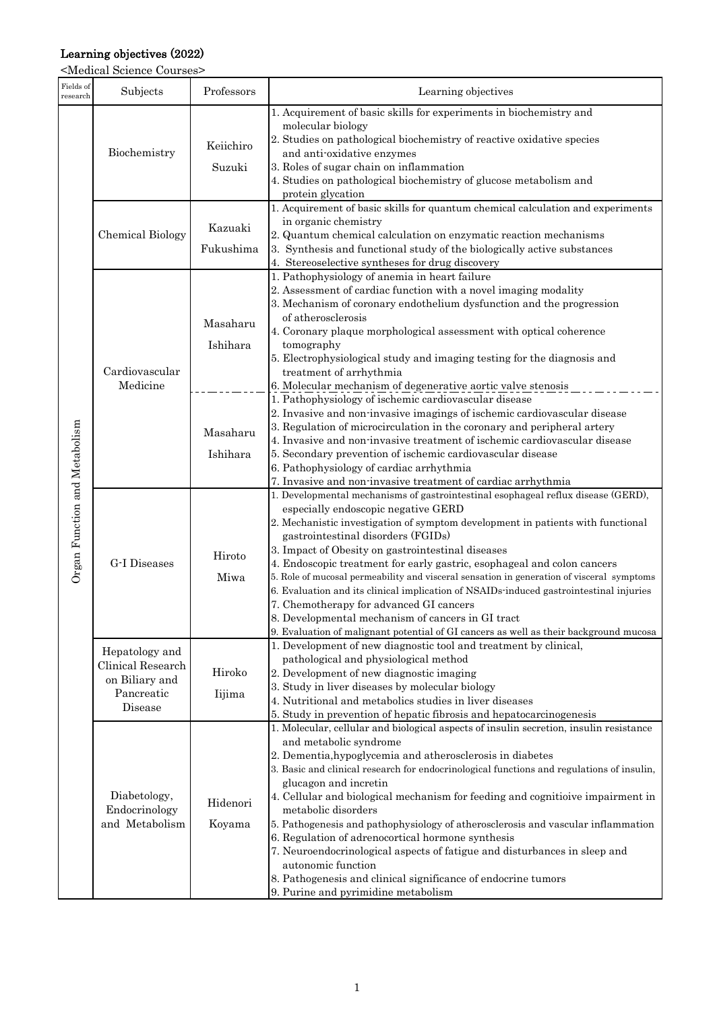## Learning objectives (2022)

<Medical Science Courses>

| Fields of<br>research                     | Subjects                                                                       | Professors           | Learning objectives                                                                                                                                                                                                                                                                                                                                                                                                                                                                                                                                                                                                                                                                                                                                               |
|-------------------------------------------|--------------------------------------------------------------------------------|----------------------|-------------------------------------------------------------------------------------------------------------------------------------------------------------------------------------------------------------------------------------------------------------------------------------------------------------------------------------------------------------------------------------------------------------------------------------------------------------------------------------------------------------------------------------------------------------------------------------------------------------------------------------------------------------------------------------------------------------------------------------------------------------------|
| unction and Metabolism<br>$\rm{Organ}\;F$ | Biochemistry                                                                   | Keiichiro<br>Suzuki  | 1. Acquirement of basic skills for experiments in biochemistry and<br>molecular biology<br>2. Studies on pathological biochemistry of reactive oxidative species<br>and anti-oxidative enzymes<br>3. Roles of sugar chain on inflammation<br>4. Studies on pathological biochemistry of glucose metabolism and<br>protein glycation                                                                                                                                                                                                                                                                                                                                                                                                                               |
|                                           | <b>Chemical Biology</b>                                                        | Kazuaki<br>Fukushima | 1. Acquirement of basic skills for quantum chemical calculation and experiments<br>in organic chemistry<br>2. Quantum chemical calculation on enzymatic reaction mechanisms<br>3. Synthesis and functional study of the biologically active substances<br>4. Stereoselective syntheses for drug discovery                                                                                                                                                                                                                                                                                                                                                                                                                                                         |
|                                           | Cardiovascular<br>Medicine                                                     | Masaharu<br>Ishihara | 1. Pathophysiology of anemia in heart failure<br>2. Assessment of cardiac function with a novel imaging modality<br>3. Mechanism of coronary endothelium dysfunction and the progression<br>of atherosclerosis<br>4. Coronary plaque morphological assessment with optical coherence<br>tomography<br>5. Electrophysiological study and imaging testing for the diagnosis and<br>treatment of arrhythmia                                                                                                                                                                                                                                                                                                                                                          |
|                                           |                                                                                | Masaharu<br>Ishihara | 6. Molecular mechanism of degenerative aortic valve stenosis<br>1. Pathophysiology of ischemic cardiovascular disease<br>2. Invasive and non-invasive imagings of ischemic cardiovascular disease<br>3. Regulation of microcirculation in the coronary and peripheral artery<br>4. Invasive and non-invasive treatment of ischemic cardiovascular disease<br>5. Secondary prevention of ischemic cardiovascular disease<br>6. Pathophysiology of cardiac arrhythmia<br>7. Invasive and non-invasive treatment of cardiac arrhythmia                                                                                                                                                                                                                               |
|                                           | G-I Diseases                                                                   | Hiroto<br>Miwa       | 1. Developmental mechanisms of gastrointestinal esophageal reflux disease (GERD),<br>especially endoscopic negative GERD<br>2. Mechanistic investigation of symptom development in patients with functional<br>gastrointestinal disorders (FGIDs)<br>3. Impact of Obesity on gastrointestinal diseases<br>4. Endoscopic treatment for early gastric, esophageal and colon cancers<br>5. Role of mucosal permeability and visceral sensation in generation of visceral symptoms<br>6. Evaluation and its clinical implication of NSAIDs induced gastrointestinal injuries<br>7. Chemotherapy for advanced GI cancers<br>8. Developmental mechanism of cancers in GI tract<br>9. Evaluation of malignant potential of GI cancers as well as their background mucosa |
|                                           | Hepatology and<br>Clinical Research<br>on Biliary and<br>Pancreatic<br>Disease | Hiroko<br>Iijima     | 1. Development of new diagnostic tool and treatment by clinical,<br>pathological and physiological method<br>2. Development of new diagnostic imaging<br>3. Study in liver diseases by molecular biology<br>4. Nutritional and metabolics studies in liver diseases<br>5. Study in prevention of hepatic fibrosis and hepatocarcinogenesis                                                                                                                                                                                                                                                                                                                                                                                                                        |
|                                           | Diabetology,<br>Endocrinology<br>and Metabolism                                | Hidenori<br>Koyama   | 1. Molecular, cellular and biological aspects of insulin secretion, insulin resistance<br>and metabolic syndrome<br>2. Dementia, hypoglycemia and atherosclerosis in diabetes<br>3. Basic and clinical research for endocrinological functions and regulations of insulin,<br>glucagon and incretin<br>4. Cellular and biological mechanism for feeding and cognitioive impairment in<br>metabolic disorders<br>5. Pathogenesis and pathophysiology of atherosclerosis and vascular inflammation<br>6. Regulation of adrenocortical hormone synthesis<br>7. Neuroendocrinological aspects of fatigue and disturbances in sleep and<br>autonomic function<br>8. Pathogenesis and clinical significance of endocrine tumors<br>9. Purine and pyrimidine metabolism  |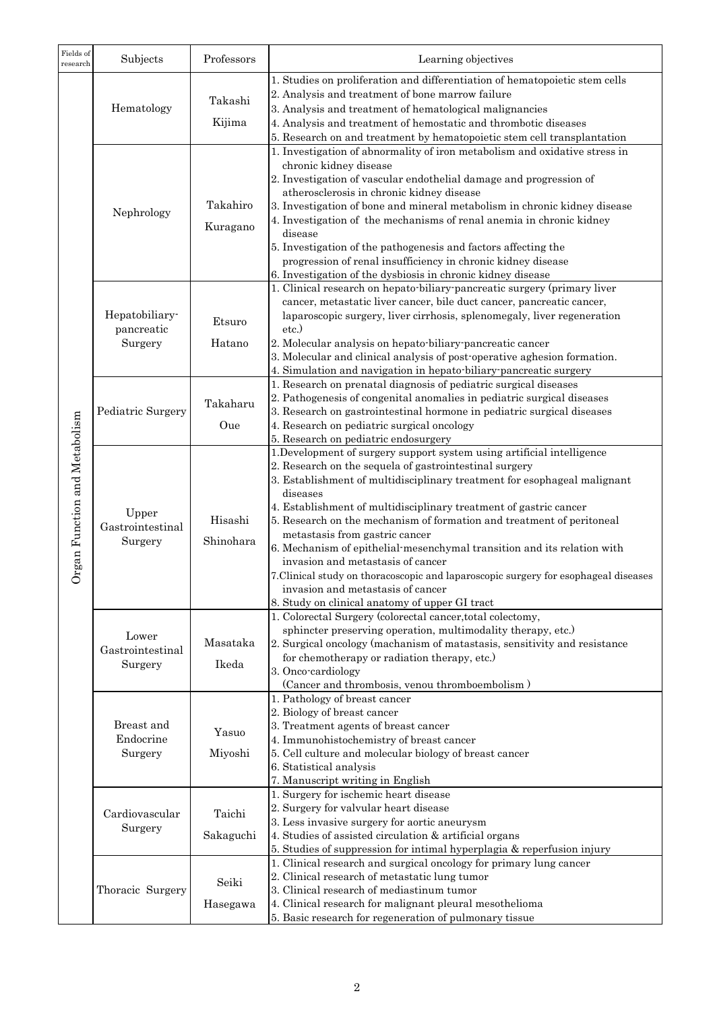| 1. Studies on proliferation and differentiation of hematopoietic stem cells<br>2. Analysis and treatment of bone marrow failure<br>Takashi<br>Hematology<br>3. Analysis and treatment of hematological malignancies<br>Kijima<br>4. Analysis and treatment of hemostatic and thrombotic diseases<br>5. Research on and treatment by hematopoietic stem cell transplantation<br>1. Investigation of abnormality of iron metabolism and oxidative stress in<br>chronic kidney disease<br>2. Investigation of vascular endothelial damage and progression of<br>atherosclerosis in chronic kidney disease<br>Takahiro<br>3. Investigation of bone and mineral metabolism in chronic kidney disease<br>Nephrology<br>4. Investigation of the mechanisms of renal anemia in chronic kidney<br>Kuragano<br>disease<br>5. Investigation of the pathogenesis and factors affecting the<br>progression of renal insufficiency in chronic kidney disease<br>6. Investigation of the dysbiosis in chronic kidney disease<br>1. Clinical research on hepato-biliary-pancreatic surgery (primary liver<br>cancer, metastatic liver cancer, bile duct cancer, pancreatic cancer,<br>Hepatobiliary-<br>laparoscopic surgery, liver cirrhosis, splenomegaly, liver regeneration<br>Etsuro<br>pancreatic<br>etc.)<br>Surgery<br>2. Molecular analysis on hepato-biliary-pancreatic cancer<br>Hatano<br>3. Molecular and clinical analysis of post-operative aghesion formation.<br>4. Simulation and navigation in hepato-biliary-pancreatic surgery<br>1. Research on prenatal diagnosis of pediatric surgical diseases |  |
|---------------------------------------------------------------------------------------------------------------------------------------------------------------------------------------------------------------------------------------------------------------------------------------------------------------------------------------------------------------------------------------------------------------------------------------------------------------------------------------------------------------------------------------------------------------------------------------------------------------------------------------------------------------------------------------------------------------------------------------------------------------------------------------------------------------------------------------------------------------------------------------------------------------------------------------------------------------------------------------------------------------------------------------------------------------------------------------------------------------------------------------------------------------------------------------------------------------------------------------------------------------------------------------------------------------------------------------------------------------------------------------------------------------------------------------------------------------------------------------------------------------------------------------------------------------------------------------------------------|--|
|                                                                                                                                                                                                                                                                                                                                                                                                                                                                                                                                                                                                                                                                                                                                                                                                                                                                                                                                                                                                                                                                                                                                                                                                                                                                                                                                                                                                                                                                                                                                                                                                         |  |
|                                                                                                                                                                                                                                                                                                                                                                                                                                                                                                                                                                                                                                                                                                                                                                                                                                                                                                                                                                                                                                                                                                                                                                                                                                                                                                                                                                                                                                                                                                                                                                                                         |  |
|                                                                                                                                                                                                                                                                                                                                                                                                                                                                                                                                                                                                                                                                                                                                                                                                                                                                                                                                                                                                                                                                                                                                                                                                                                                                                                                                                                                                                                                                                                                                                                                                         |  |
|                                                                                                                                                                                                                                                                                                                                                                                                                                                                                                                                                                                                                                                                                                                                                                                                                                                                                                                                                                                                                                                                                                                                                                                                                                                                                                                                                                                                                                                                                                                                                                                                         |  |
|                                                                                                                                                                                                                                                                                                                                                                                                                                                                                                                                                                                                                                                                                                                                                                                                                                                                                                                                                                                                                                                                                                                                                                                                                                                                                                                                                                                                                                                                                                                                                                                                         |  |
|                                                                                                                                                                                                                                                                                                                                                                                                                                                                                                                                                                                                                                                                                                                                                                                                                                                                                                                                                                                                                                                                                                                                                                                                                                                                                                                                                                                                                                                                                                                                                                                                         |  |
|                                                                                                                                                                                                                                                                                                                                                                                                                                                                                                                                                                                                                                                                                                                                                                                                                                                                                                                                                                                                                                                                                                                                                                                                                                                                                                                                                                                                                                                                                                                                                                                                         |  |
|                                                                                                                                                                                                                                                                                                                                                                                                                                                                                                                                                                                                                                                                                                                                                                                                                                                                                                                                                                                                                                                                                                                                                                                                                                                                                                                                                                                                                                                                                                                                                                                                         |  |
|                                                                                                                                                                                                                                                                                                                                                                                                                                                                                                                                                                                                                                                                                                                                                                                                                                                                                                                                                                                                                                                                                                                                                                                                                                                                                                                                                                                                                                                                                                                                                                                                         |  |
|                                                                                                                                                                                                                                                                                                                                                                                                                                                                                                                                                                                                                                                                                                                                                                                                                                                                                                                                                                                                                                                                                                                                                                                                                                                                                                                                                                                                                                                                                                                                                                                                         |  |
|                                                                                                                                                                                                                                                                                                                                                                                                                                                                                                                                                                                                                                                                                                                                                                                                                                                                                                                                                                                                                                                                                                                                                                                                                                                                                                                                                                                                                                                                                                                                                                                                         |  |
|                                                                                                                                                                                                                                                                                                                                                                                                                                                                                                                                                                                                                                                                                                                                                                                                                                                                                                                                                                                                                                                                                                                                                                                                                                                                                                                                                                                                                                                                                                                                                                                                         |  |
|                                                                                                                                                                                                                                                                                                                                                                                                                                                                                                                                                                                                                                                                                                                                                                                                                                                                                                                                                                                                                                                                                                                                                                                                                                                                                                                                                                                                                                                                                                                                                                                                         |  |
|                                                                                                                                                                                                                                                                                                                                                                                                                                                                                                                                                                                                                                                                                                                                                                                                                                                                                                                                                                                                                                                                                                                                                                                                                                                                                                                                                                                                                                                                                                                                                                                                         |  |
|                                                                                                                                                                                                                                                                                                                                                                                                                                                                                                                                                                                                                                                                                                                                                                                                                                                                                                                                                                                                                                                                                                                                                                                                                                                                                                                                                                                                                                                                                                                                                                                                         |  |
|                                                                                                                                                                                                                                                                                                                                                                                                                                                                                                                                                                                                                                                                                                                                                                                                                                                                                                                                                                                                                                                                                                                                                                                                                                                                                                                                                                                                                                                                                                                                                                                                         |  |
|                                                                                                                                                                                                                                                                                                                                                                                                                                                                                                                                                                                                                                                                                                                                                                                                                                                                                                                                                                                                                                                                                                                                                                                                                                                                                                                                                                                                                                                                                                                                                                                                         |  |
|                                                                                                                                                                                                                                                                                                                                                                                                                                                                                                                                                                                                                                                                                                                                                                                                                                                                                                                                                                                                                                                                                                                                                                                                                                                                                                                                                                                                                                                                                                                                                                                                         |  |
|                                                                                                                                                                                                                                                                                                                                                                                                                                                                                                                                                                                                                                                                                                                                                                                                                                                                                                                                                                                                                                                                                                                                                                                                                                                                                                                                                                                                                                                                                                                                                                                                         |  |
|                                                                                                                                                                                                                                                                                                                                                                                                                                                                                                                                                                                                                                                                                                                                                                                                                                                                                                                                                                                                                                                                                                                                                                                                                                                                                                                                                                                                                                                                                                                                                                                                         |  |
|                                                                                                                                                                                                                                                                                                                                                                                                                                                                                                                                                                                                                                                                                                                                                                                                                                                                                                                                                                                                                                                                                                                                                                                                                                                                                                                                                                                                                                                                                                                                                                                                         |  |
| 2. Pathogenesis of congenital anomalies in pediatric surgical diseases<br>Takaharu                                                                                                                                                                                                                                                                                                                                                                                                                                                                                                                                                                                                                                                                                                                                                                                                                                                                                                                                                                                                                                                                                                                                                                                                                                                                                                                                                                                                                                                                                                                      |  |
| Pediatric Surgery<br>3. Research on gastrointestinal hormone in pediatric surgical diseases                                                                                                                                                                                                                                                                                                                                                                                                                                                                                                                                                                                                                                                                                                                                                                                                                                                                                                                                                                                                                                                                                                                                                                                                                                                                                                                                                                                                                                                                                                             |  |
| 4. Research on pediatric surgical oncology<br>Oue<br>5. Research on pediatric endosurgery                                                                                                                                                                                                                                                                                                                                                                                                                                                                                                                                                                                                                                                                                                                                                                                                                                                                                                                                                                                                                                                                                                                                                                                                                                                                                                                                                                                                                                                                                                               |  |
| on and Metabolism<br>1. Development of surgery support system using artificial intelligence                                                                                                                                                                                                                                                                                                                                                                                                                                                                                                                                                                                                                                                                                                                                                                                                                                                                                                                                                                                                                                                                                                                                                                                                                                                                                                                                                                                                                                                                                                             |  |
| 2. Research on the sequela of gastrointestinal surgery                                                                                                                                                                                                                                                                                                                                                                                                                                                                                                                                                                                                                                                                                                                                                                                                                                                                                                                                                                                                                                                                                                                                                                                                                                                                                                                                                                                                                                                                                                                                                  |  |
| 3. Establishment of multidisciplinary treatment for esophageal malignant                                                                                                                                                                                                                                                                                                                                                                                                                                                                                                                                                                                                                                                                                                                                                                                                                                                                                                                                                                                                                                                                                                                                                                                                                                                                                                                                                                                                                                                                                                                                |  |
| diseases                                                                                                                                                                                                                                                                                                                                                                                                                                                                                                                                                                                                                                                                                                                                                                                                                                                                                                                                                                                                                                                                                                                                                                                                                                                                                                                                                                                                                                                                                                                                                                                                |  |
| 4. Establishment of multidisciplinary treatment of gastric cancer<br>Upper                                                                                                                                                                                                                                                                                                                                                                                                                                                                                                                                                                                                                                                                                                                                                                                                                                                                                                                                                                                                                                                                                                                                                                                                                                                                                                                                                                                                                                                                                                                              |  |
| Hisashi<br>5. Research on the mechanism of formation and treatment of peritoneal<br>Gastrointestinal                                                                                                                                                                                                                                                                                                                                                                                                                                                                                                                                                                                                                                                                                                                                                                                                                                                                                                                                                                                                                                                                                                                                                                                                                                                                                                                                                                                                                                                                                                    |  |
| metastasis from gastric cancer<br>Surgery<br>Shinohara<br>6. Mechanism of epithelial-mesenchymal transition and its relation with                                                                                                                                                                                                                                                                                                                                                                                                                                                                                                                                                                                                                                                                                                                                                                                                                                                                                                                                                                                                                                                                                                                                                                                                                                                                                                                                                                                                                                                                       |  |
| Organ Functi<br>invasion and metastasis of cancer                                                                                                                                                                                                                                                                                                                                                                                                                                                                                                                                                                                                                                                                                                                                                                                                                                                                                                                                                                                                                                                                                                                                                                                                                                                                                                                                                                                                                                                                                                                                                       |  |
| 7. Clinical study on thoracoscopic and laparoscopic surgery for esophageal diseases                                                                                                                                                                                                                                                                                                                                                                                                                                                                                                                                                                                                                                                                                                                                                                                                                                                                                                                                                                                                                                                                                                                                                                                                                                                                                                                                                                                                                                                                                                                     |  |
| invasion and metastasis of cancer                                                                                                                                                                                                                                                                                                                                                                                                                                                                                                                                                                                                                                                                                                                                                                                                                                                                                                                                                                                                                                                                                                                                                                                                                                                                                                                                                                                                                                                                                                                                                                       |  |
| 8. Study on clinical anatomy of upper GI tract                                                                                                                                                                                                                                                                                                                                                                                                                                                                                                                                                                                                                                                                                                                                                                                                                                                                                                                                                                                                                                                                                                                                                                                                                                                                                                                                                                                                                                                                                                                                                          |  |
| 1. Colorectal Surgery (colorectal cancer, total colectomy,                                                                                                                                                                                                                                                                                                                                                                                                                                                                                                                                                                                                                                                                                                                                                                                                                                                                                                                                                                                                                                                                                                                                                                                                                                                                                                                                                                                                                                                                                                                                              |  |
| sphincter preserving operation, multimodality therapy, etc.)<br>Lower<br>Masataka                                                                                                                                                                                                                                                                                                                                                                                                                                                                                                                                                                                                                                                                                                                                                                                                                                                                                                                                                                                                                                                                                                                                                                                                                                                                                                                                                                                                                                                                                                                       |  |
| 2. Surgical oncology (machanism of matastasis, sensitivity and resistance<br>Gastrointestinal<br>for chemotherapy or radiation therapy, etc.)                                                                                                                                                                                                                                                                                                                                                                                                                                                                                                                                                                                                                                                                                                                                                                                                                                                                                                                                                                                                                                                                                                                                                                                                                                                                                                                                                                                                                                                           |  |
| Ikeda<br>Surgery<br>3. Onco-cardiology                                                                                                                                                                                                                                                                                                                                                                                                                                                                                                                                                                                                                                                                                                                                                                                                                                                                                                                                                                                                                                                                                                                                                                                                                                                                                                                                                                                                                                                                                                                                                                  |  |
| (Cancer and thrombosis, venou thromboembolism)                                                                                                                                                                                                                                                                                                                                                                                                                                                                                                                                                                                                                                                                                                                                                                                                                                                                                                                                                                                                                                                                                                                                                                                                                                                                                                                                                                                                                                                                                                                                                          |  |
| 1. Pathology of breast cancer                                                                                                                                                                                                                                                                                                                                                                                                                                                                                                                                                                                                                                                                                                                                                                                                                                                                                                                                                                                                                                                                                                                                                                                                                                                                                                                                                                                                                                                                                                                                                                           |  |
| 2. Biology of breast cancer                                                                                                                                                                                                                                                                                                                                                                                                                                                                                                                                                                                                                                                                                                                                                                                                                                                                                                                                                                                                                                                                                                                                                                                                                                                                                                                                                                                                                                                                                                                                                                             |  |
| Breast and<br>3. Treatment agents of breast cancer<br>Yasuo                                                                                                                                                                                                                                                                                                                                                                                                                                                                                                                                                                                                                                                                                                                                                                                                                                                                                                                                                                                                                                                                                                                                                                                                                                                                                                                                                                                                                                                                                                                                             |  |
| Endocrine<br>4. Immunohistochemistry of breast cancer                                                                                                                                                                                                                                                                                                                                                                                                                                                                                                                                                                                                                                                                                                                                                                                                                                                                                                                                                                                                                                                                                                                                                                                                                                                                                                                                                                                                                                                                                                                                                   |  |
| Surgery<br>5. Cell culture and molecular biology of breast cancer<br>Miyoshi<br>6. Statistical analysis                                                                                                                                                                                                                                                                                                                                                                                                                                                                                                                                                                                                                                                                                                                                                                                                                                                                                                                                                                                                                                                                                                                                                                                                                                                                                                                                                                                                                                                                                                 |  |
| 7. Manuscript writing in English                                                                                                                                                                                                                                                                                                                                                                                                                                                                                                                                                                                                                                                                                                                                                                                                                                                                                                                                                                                                                                                                                                                                                                                                                                                                                                                                                                                                                                                                                                                                                                        |  |
| 1. Surgery for ischemic heart disease                                                                                                                                                                                                                                                                                                                                                                                                                                                                                                                                                                                                                                                                                                                                                                                                                                                                                                                                                                                                                                                                                                                                                                                                                                                                                                                                                                                                                                                                                                                                                                   |  |
| 2. Surgery for valvular heart disease                                                                                                                                                                                                                                                                                                                                                                                                                                                                                                                                                                                                                                                                                                                                                                                                                                                                                                                                                                                                                                                                                                                                                                                                                                                                                                                                                                                                                                                                                                                                                                   |  |
| Cardiovascular<br>Taichi<br>3. Less invasive surgery for aortic aneurysm<br>Surgery                                                                                                                                                                                                                                                                                                                                                                                                                                                                                                                                                                                                                                                                                                                                                                                                                                                                                                                                                                                                                                                                                                                                                                                                                                                                                                                                                                                                                                                                                                                     |  |
| 4. Studies of assisted circulation & artificial organs<br>Sakaguchi                                                                                                                                                                                                                                                                                                                                                                                                                                                                                                                                                                                                                                                                                                                                                                                                                                                                                                                                                                                                                                                                                                                                                                                                                                                                                                                                                                                                                                                                                                                                     |  |
| 5. Studies of suppression for intimal hyperplagia & reperfusion injury                                                                                                                                                                                                                                                                                                                                                                                                                                                                                                                                                                                                                                                                                                                                                                                                                                                                                                                                                                                                                                                                                                                                                                                                                                                                                                                                                                                                                                                                                                                                  |  |
| 1. Clinical research and surgical oncology for primary lung cancer                                                                                                                                                                                                                                                                                                                                                                                                                                                                                                                                                                                                                                                                                                                                                                                                                                                                                                                                                                                                                                                                                                                                                                                                                                                                                                                                                                                                                                                                                                                                      |  |
| 2. Clinical research of metastatic lung tumor<br>Seiki<br>Thoracic Surgery<br>3. Clinical research of mediastinum tumor                                                                                                                                                                                                                                                                                                                                                                                                                                                                                                                                                                                                                                                                                                                                                                                                                                                                                                                                                                                                                                                                                                                                                                                                                                                                                                                                                                                                                                                                                 |  |
| 4. Clinical research for malignant pleural mesothelioma<br>Hasegawa                                                                                                                                                                                                                                                                                                                                                                                                                                                                                                                                                                                                                                                                                                                                                                                                                                                                                                                                                                                                                                                                                                                                                                                                                                                                                                                                                                                                                                                                                                                                     |  |
| 5. Basic research for regeneration of pulmonary tissue                                                                                                                                                                                                                                                                                                                                                                                                                                                                                                                                                                                                                                                                                                                                                                                                                                                                                                                                                                                                                                                                                                                                                                                                                                                                                                                                                                                                                                                                                                                                                  |  |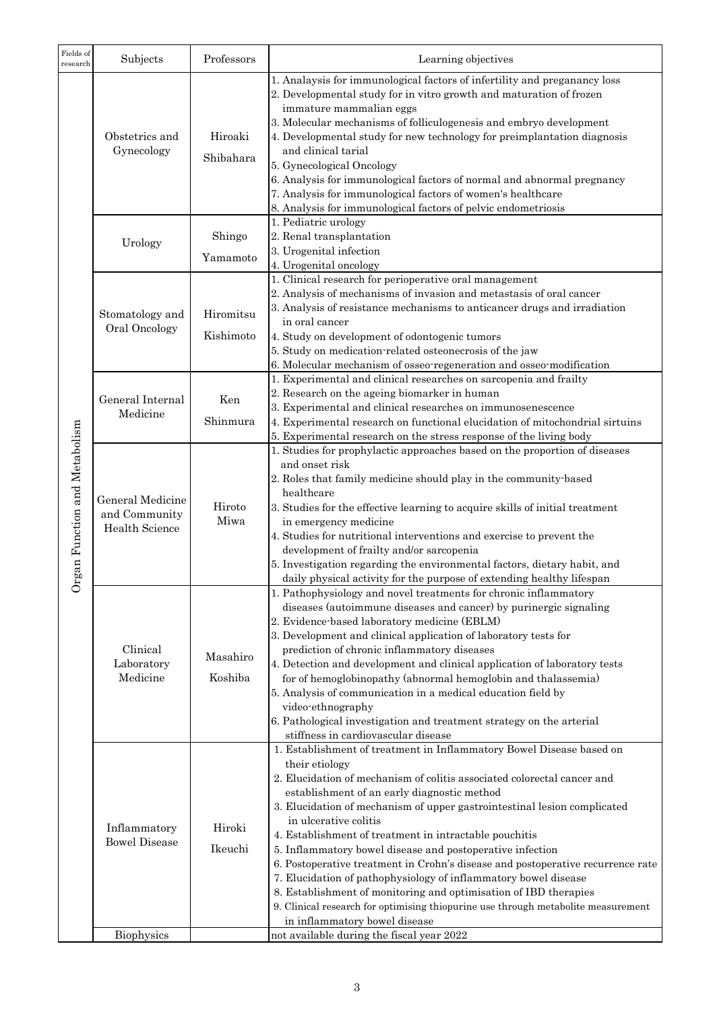| Fields of<br>research            | Subjects                                                   | Professors             | Learning objectives                                                                                                                                                                                                                                                                                                                                                                                                                                                                                                                                                                                                                                                                                                                                                                          |
|----------------------------------|------------------------------------------------------------|------------------------|----------------------------------------------------------------------------------------------------------------------------------------------------------------------------------------------------------------------------------------------------------------------------------------------------------------------------------------------------------------------------------------------------------------------------------------------------------------------------------------------------------------------------------------------------------------------------------------------------------------------------------------------------------------------------------------------------------------------------------------------------------------------------------------------|
| and Metabolism<br>Organ Function | Obstetrics and<br>Gynecology                               | Hiroaki<br>Shibahara   | 1. Analaysis for immunological factors of infertility and preganancy loss<br>2. Developmental study for in vitro growth and maturation of frozen<br>immature mammalian eggs<br>3. Molecular mechanisms of folliculogenesis and embryo development<br>4. Developmental study for new technology for preimplantation diagnosis<br>and clinical tarial<br>5. Gynecological Oncology<br>6. Analysis for immunological factors of normal and abnormal pregnancy<br>7. Analysis for immunological factors of women's healthcare<br>8. Analysis for immunological factors of pelvic endometriosis                                                                                                                                                                                                   |
|                                  | Urology                                                    | Shingo<br>Yamamoto     | 1. Pediatric urology<br>2. Renal transplantation<br>3. Urogenital infection<br>4. Urogenital oncology                                                                                                                                                                                                                                                                                                                                                                                                                                                                                                                                                                                                                                                                                        |
|                                  | Stomatology and<br>Oral Oncology                           | Hiromitsu<br>Kishimoto | 1. Clinical research for perioperative oral management<br>2. Analysis of mechanisms of invasion and metastasis of oral cancer<br>3. Analysis of resistance mechanisms to anticancer drugs and irradiation<br>in oral cancer<br>4. Study on development of odontogenic tumors<br>5. Study on medication-related osteonecrosis of the jaw<br>6. Molecular mechanism of osseo-regeneration and osseo-modification                                                                                                                                                                                                                                                                                                                                                                               |
|                                  | General Internal<br>Medicine                               | Ken<br>Shinmura        | 1. Experimental and clinical researches on sarcopenia and frailty<br>2. Research on the ageing biomarker in human<br>3. Experimental and clinical researches on immunosenescence<br>4. Experimental research on functional elucidation of mitochondrial sirtuins<br>5. Experimental research on the stress response of the living body                                                                                                                                                                                                                                                                                                                                                                                                                                                       |
|                                  | <b>General Medicine</b><br>and Community<br>Health Science | Hiroto<br>Miwa         | 1. Studies for prophylactic approaches based on the proportion of diseases<br>and onset risk<br>2. Roles that family medicine should play in the community-based<br>healthcare<br>3. Studies for the effective learning to acquire skills of initial treatment<br>in emergency medicine<br>4. Studies for nutritional interventions and exercise to prevent the<br>development of frailty and/or sarcopenia<br>5. Investigation regarding the environmental factors, dietary habit, and<br>daily physical activity for the purpose of extending healthy lifespan                                                                                                                                                                                                                             |
|                                  | Clinical<br>Laboratory<br>Medicine                         | Masahiro<br>Koshiba    | 1. Pathophysiology and novel treatments for chronic inflammatory<br>diseases (autoimmune diseases and cancer) by purinergic signaling<br>2. Evidence-based laboratory medicine (EBLM)<br>3. Development and clinical application of laboratory tests for<br>prediction of chronic inflammatory diseases<br>4. Detection and development and clinical application of laboratory tests<br>for of hemoglobinopathy (abnormal hemoglobin and thalassemia)<br>5. Analysis of communication in a medical education field by<br>video-ethnography<br>6. Pathological investigation and treatment strategy on the arterial<br>stiffness in cardiovascular disease                                                                                                                                    |
|                                  | Inflammatory<br><b>Bowel Disease</b>                       | Hiroki<br>Ikeuchi      | 1. Establishment of treatment in Inflammatory Bowel Disease based on<br>their etiology<br>2. Elucidation of mechanism of colitis associated colorectal cancer and<br>establishment of an early diagnostic method<br>3. Elucidation of mechanism of upper gastrointestinal lesion complicated<br>in ulcerative colitis<br>4. Establishment of treatment in intractable pouchitis<br>5. Inflammatory bowel disease and postoperative infection<br>6. Postoperative treatment in Crohn's disease and postoperative recurrence rate<br>7. Elucidation of pathophysiology of inflammatory bowel disease<br>8. Establishment of monitoring and optimisation of IBD therapies<br>9. Clinical research for optimising thiopurine use through metabolite measurement<br>in inflammatory bowel disease |
|                                  | <b>Biophysics</b>                                          |                        | not available during the fiscal year 2022                                                                                                                                                                                                                                                                                                                                                                                                                                                                                                                                                                                                                                                                                                                                                    |

3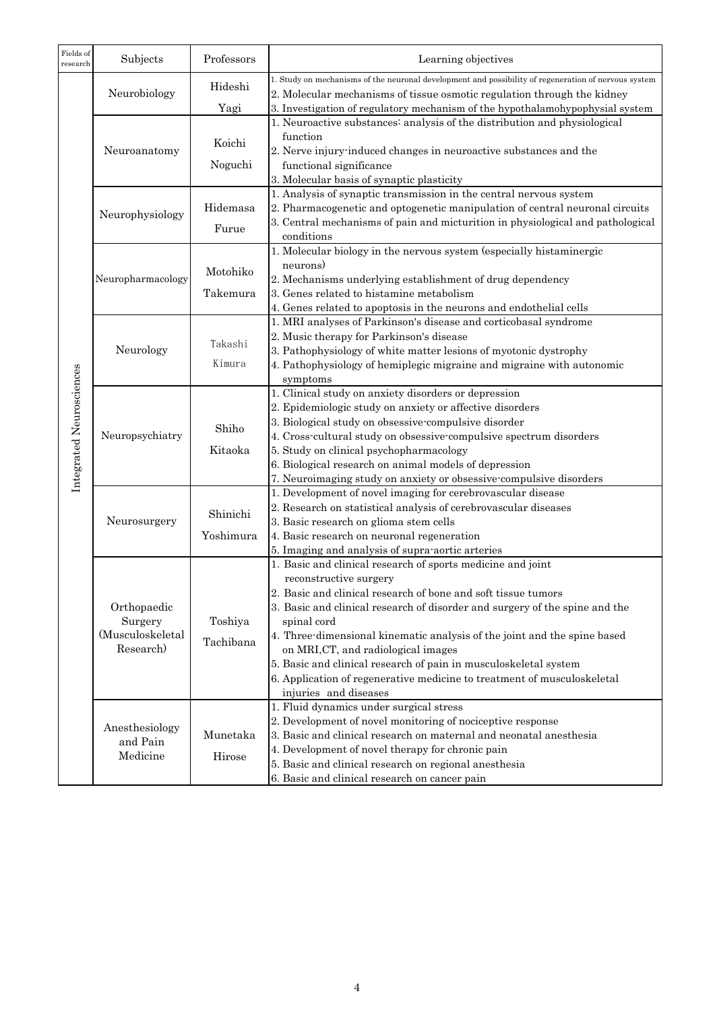| Fields of<br>research    | Subjects                               | Professors | Learning objectives                                                                                             |
|--------------------------|----------------------------------------|------------|-----------------------------------------------------------------------------------------------------------------|
|                          |                                        | Hideshi    | 1. Study on mechanisms of the neuronal development and possibility of regeneration of nervous system            |
|                          | Neurobiology                           |            | 2. Molecular mechanisms of tissue osmotic regulation through the kidney                                         |
|                          |                                        | Yagi       | 3. Investigation of regulatory mechanism of the hypothalamohypophysial system                                   |
|                          |                                        |            | 1. Neuroactive substances: analysis of the distribution and physiological                                       |
|                          |                                        | Koichi     | function                                                                                                        |
|                          | Neuroanatomy                           |            | 2. Nerve injury induced changes in neuroactive substances and the<br>functional significance                    |
|                          |                                        | Noguchi    | 3. Molecular basis of synaptic plasticity                                                                       |
|                          |                                        |            | 1. Analysis of synaptic transmission in the central nervous system                                              |
|                          | Neurophysiology                        | Hidemasa   | 2. Pharmacogenetic and optogenetic manipulation of central neuronal circuits                                    |
|                          |                                        |            | 3. Central mechanisms of pain and micturition in physiological and pathological                                 |
|                          |                                        | Furue      | conditions                                                                                                      |
|                          |                                        |            | 1. Molecular biology in the nervous system (especially histaminergic                                            |
|                          |                                        |            | neurons)                                                                                                        |
|                          | Neuropharmacology                      | Motohiko   | 2. Mechanisms underlying establishment of drug dependency                                                       |
|                          |                                        | Takemura   | 3. Genes related to histamine metabolism                                                                        |
|                          |                                        |            | 4. Genes related to apoptosis in the neurons and endothelial cells                                              |
|                          |                                        |            | 1. MRI analyses of Parkinson's disease and corticobasal syndrome                                                |
|                          |                                        |            | 2. Music therapy for Parkinson's disease                                                                        |
|                          | Neurology                              | Takashi    | 3. Pathophysiology of white matter lesions of myotonic dystrophy                                                |
|                          |                                        | Kimura     | 4. Pathophysiology of hemiplegic migraine and migraine with autonomic                                           |
|                          |                                        |            | symptoms                                                                                                        |
|                          |                                        |            | 1. Clinical study on anxiety disorders or depression                                                            |
|                          | Neuropsychiatry                        |            | 2. Epidemiologic study on anxiety or affective disorders                                                        |
| Integrated Neurosciences |                                        | Shiho      | 3. Biological study on obsessive-compulsive disorder                                                            |
|                          |                                        |            | 4. Cross-cultural study on obsessive-compulsive spectrum disorders                                              |
|                          |                                        | Kitaoka    | 5. Study on clinical psychopharmacology                                                                         |
|                          |                                        |            | 6. Biological research on animal models of depression                                                           |
|                          |                                        |            | 7. Neuroimaging study on anxiety or obsessive compulsive disorders                                              |
|                          |                                        |            | 1. Development of novel imaging for cerebrovascular disease                                                     |
|                          | Neurosurgery                           | Shinichi   | 2. Research on statistical analysis of cerebrovascular diseases                                                 |
|                          |                                        |            | 3. Basic research on glioma stem cells                                                                          |
|                          |                                        | Yoshimura  | 4. Basic research on neuronal regeneration                                                                      |
|                          |                                        |            | 5. Imaging and analysis of supra-aortic arteries<br>1. Basic and clinical research of sports medicine and joint |
|                          |                                        |            | reconstructive surgery                                                                                          |
|                          |                                        |            | 2. Basic and clinical research of bone and soft tissue tumors                                                   |
|                          | Orthopaedic                            |            | 3. Basic and clinical research of disorder and surgery of the spine and the                                     |
|                          | Surgery                                | Toshiya    | spinal cord                                                                                                     |
|                          | (Musculoskeletal                       |            | 4. Three-dimensional kinematic analysis of the joint and the spine based                                        |
|                          | Research)                              | Tachibana  | on MRI, CT, and radiological images                                                                             |
|                          |                                        |            | 5. Basic and clinical research of pain in musculoskeletal system                                                |
|                          |                                        |            | 6. Application of regenerative medicine to treatment of musculoskeletal                                         |
|                          |                                        |            | injuries and diseases                                                                                           |
|                          |                                        |            | 1. Fluid dynamics under surgical stress                                                                         |
|                          | Anesthesiology<br>and Pain<br>Medicine |            | 2. Development of novel monitoring of nociceptive response                                                      |
|                          |                                        | Munetaka   | 3. Basic and clinical research on maternal and neonatal anesthesia                                              |
|                          |                                        | Hirose     | 4. Development of novel therapy for chronic pain                                                                |
|                          |                                        |            | 5. Basic and clinical research on regional anesthesia                                                           |
|                          |                                        |            | 6. Basic and clinical research on cancer pain                                                                   |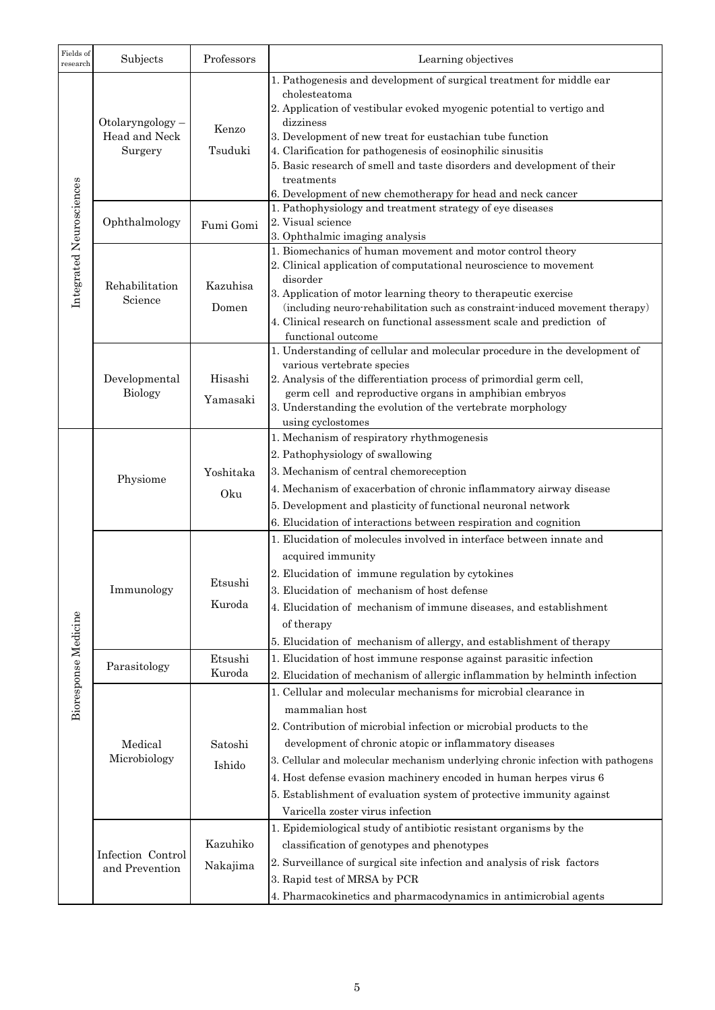| Fields of<br>research    | Subjects                            | Professors | Learning objectives                                                                                      |
|--------------------------|-------------------------------------|------------|----------------------------------------------------------------------------------------------------------|
|                          |                                     |            | 1. Pathogenesis and development of surgical treatment for middle ear                                     |
|                          |                                     |            | cholesteatoma                                                                                            |
|                          |                                     |            | 2. Application of vestibular evoked myogenic potential to vertigo and                                    |
|                          | Otolaryngology-<br>Head and Neck    | Kenzo      | dizziness<br>3. Development of new treat for eustachian tube function                                    |
|                          | Surgery                             | Tsuduki    | 4. Clarification for pathogenesis of eosinophilic sinusitis                                              |
|                          |                                     |            | 5. Basic research of smell and taste disorders and development of their                                  |
|                          |                                     |            | treatments                                                                                               |
| Integrated Neurosciences |                                     |            | 6. Development of new chemotherapy for head and neck cancer                                              |
|                          |                                     |            | 1. Pathophysiology and treatment strategy of eye diseases                                                |
|                          | Ophthalmology                       | Fumi Gomi  | 2. Visual science                                                                                        |
|                          |                                     |            | 3. Ophthalmic imaging analysis<br>1. Biomechanics of human movement and motor control theory             |
|                          |                                     |            | 2. Clinical application of computational neuroscience to movement                                        |
|                          |                                     |            | disorder                                                                                                 |
|                          | Rehabilitation<br>Science           | Kazuhisa   | 3. Application of motor learning theory to therapeutic exercise                                          |
|                          |                                     | Domen      | (including neuro-rehabilitation such as constraint-induced movement therapy)                             |
|                          |                                     |            | 4. Clinical research on functional assessment scale and prediction of                                    |
|                          |                                     |            | functional outcome                                                                                       |
|                          |                                     |            | 1. Understanding of cellular and molecular procedure in the development of<br>various vertebrate species |
|                          | Developmental                       | Hisashi    | 2. Analysis of the differentiation process of primordial germ cell,                                      |
|                          | <b>Biology</b>                      |            | germ cell and reproductive organs in amphibian embryos                                                   |
|                          |                                     | Yamasaki   | 3. Understanding the evolution of the vertebrate morphology                                              |
|                          |                                     |            | using cyclostomes                                                                                        |
|                          |                                     |            | 1. Mechanism of respiratory rhythmogenesis                                                               |
|                          |                                     |            | 2. Pathophysiology of swallowing                                                                         |
|                          | Physiome                            | Yoshitaka  | 3. Mechanism of central chemoreception                                                                   |
|                          |                                     | Oku        | 4. Mechanism of exacerbation of chronic inflammatory airway disease                                      |
|                          |                                     |            | 5. Development and plasticity of functional neuronal network                                             |
|                          |                                     |            | 6. Elucidation of interactions between respiration and cognition                                         |
|                          |                                     |            | 1. Elucidation of molecules involved in interface between innate and                                     |
|                          | Immunology                          |            | acquired immunity                                                                                        |
|                          |                                     |            | 2. Elucidation of immune regulation by cytokines                                                         |
|                          |                                     | Etsushi    | 3. Elucidation of mechanism of host defense                                                              |
|                          |                                     | Kuroda     | 4. Elucidation of mechanism of immune diseases, and establishment                                        |
|                          |                                     |            | of therapy                                                                                               |
|                          |                                     |            | 5. Elucidation of mechanism of allergy, and establishment of therapy                                     |
| Bioresponse Medicine     |                                     | Etsushi    | 1. Elucidation of host immune response against parasitic infection                                       |
|                          | Parasitology                        | Kuroda     | 2. Elucidation of mechanism of allergic inflammation by helminth infection                               |
|                          |                                     |            | 1. Cellular and molecular mechanisms for microbial clearance in                                          |
|                          |                                     |            | mammalian host                                                                                           |
|                          |                                     |            | 2. Contribution of microbial infection or microbial products to the                                      |
|                          | Medical                             | Satoshi    | development of chronic atopic or inflammatory diseases                                                   |
|                          | Microbiology                        |            | 3. Cellular and molecular mechanism underlying chronic infection with pathogens                          |
|                          |                                     | Ishido     | 4. Host defense evasion machinery encoded in human herpes virus 6                                        |
|                          |                                     |            | 5. Establishment of evaluation system of protective immunity against                                     |
|                          |                                     |            |                                                                                                          |
|                          |                                     |            | Varicella zoster virus infection                                                                         |
|                          |                                     | Kazuhiko   | 1. Epidemiological study of antibiotic resistant organisms by the                                        |
|                          | Infection Control<br>and Prevention |            | classification of genotypes and phenotypes                                                               |
|                          |                                     | Nakajima   | 2. Surveillance of surgical site infection and analysis of risk factors                                  |
|                          |                                     |            | 3. Rapid test of MRSA by PCR                                                                             |
|                          |                                     |            | 4. Pharmacokinetics and pharmacodynamics in antimicrobial agents                                         |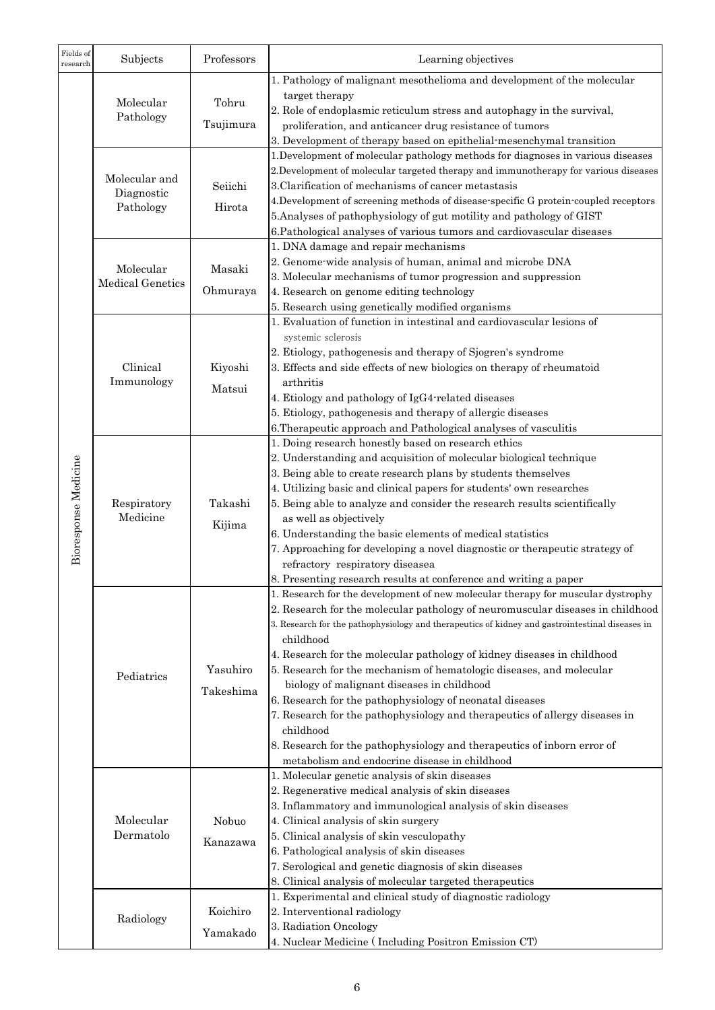| Fields of<br>research | Subjects                | Professors            | Learning objectives                                                                                                                                     |
|-----------------------|-------------------------|-----------------------|---------------------------------------------------------------------------------------------------------------------------------------------------------|
|                       | Molecular               |                       | 1. Pathology of malignant mesothelioma and development of the molecular                                                                                 |
|                       |                         | Tohru                 | target therapy                                                                                                                                          |
|                       | Pathology               |                       | 2. Role of endoplasmic reticulum stress and autophagy in the survival,                                                                                  |
|                       |                         | Tsujimura             | proliferation, and anticancer drug resistance of tumors                                                                                                 |
|                       |                         |                       | 3. Development of therapy based on epithelial-mesenchymal transition<br>1. Development of molecular pathology methods for diagnoses in various diseases |
|                       |                         |                       | 2. Development of molecular targeted therapy and immunotherapy for various diseases                                                                     |
|                       | Molecular and           | Seiichi               | 3. Clarification of mechanisms of cancer metastasis                                                                                                     |
|                       | Diagnostic<br>Pathology | Hirota                | 4. Development of screening methods of disease-specific G protein-coupled receptors                                                                     |
|                       |                         |                       | 5. Analyses of pathophysiology of gut motility and pathology of GIST                                                                                    |
|                       |                         |                       | 6. Pathological analyses of various tumors and cardiovascular diseases                                                                                  |
|                       |                         |                       | 1. DNA damage and repair mechanisms                                                                                                                     |
|                       | Molecular               | Masaki                | 2. Genome-wide analysis of human, animal and microbe DNA                                                                                                |
|                       | <b>Medical Genetics</b> |                       | 3. Molecular mechanisms of tumor progression and suppression                                                                                            |
|                       |                         | Ohmuraya              | 4. Research on genome editing technology                                                                                                                |
|                       |                         |                       | 5. Research using genetically modified organisms<br>1. Evaluation of function in intestinal and cardiovascular lesions of                               |
|                       |                         |                       | systemic sclerosis                                                                                                                                      |
|                       |                         |                       | 2. Etiology, pathogenesis and therapy of Sjogren's syndrome                                                                                             |
|                       | Clinical                | Kiyoshi               | 3. Effects and side effects of new biologics on therapy of rheumatoid                                                                                   |
|                       | Immunology              | Matsui                | arthritis                                                                                                                                               |
|                       |                         |                       | 4. Etiology and pathology of IgG4-related diseases                                                                                                      |
|                       |                         |                       | 5. Etiology, pathogenesis and therapy of allergic diseases                                                                                              |
|                       |                         |                       | 6. Therapeutic approach and Pathological analyses of vasculitis                                                                                         |
|                       |                         | Takashi<br>Kijima     | 1. Doing research honestly based on research ethics                                                                                                     |
| se Medicine           | Respiratory<br>Medicine |                       | 2. Understanding and acquisition of molecular biological technique<br>3. Being able to create research plans by students themselves                     |
|                       |                         |                       | 4. Utilizing basic and clinical papers for students' own researches                                                                                     |
|                       |                         |                       | 5. Being able to analyze and consider the research results scientifically                                                                               |
| Biorespon             |                         |                       | as well as objectively                                                                                                                                  |
|                       |                         |                       | 6. Understanding the basic elements of medical statistics                                                                                               |
|                       |                         |                       | 7. Approaching for developing a novel diagnostic or therapeutic strategy of                                                                             |
|                       |                         |                       | refractory respiratory diseasea                                                                                                                         |
|                       |                         |                       | 8. Presenting research results at conference and writing a paper                                                                                        |
|                       |                         | Yasuhiro<br>Takeshima | 1. Research for the development of new molecular therapy for muscular dystrophy                                                                         |
|                       |                         |                       | 2. Research for the molecular pathology of neuromuscular diseases in childhood                                                                          |
|                       | Pediatrics              |                       | 3. Research for the pathophysiology and therapeutics of kidney and gastrointestinal diseases in<br>childhood                                            |
|                       |                         |                       | 4. Research for the molecular pathology of kidney diseases in childhood                                                                                 |
|                       |                         |                       | 5. Research for the mechanism of hematologic diseases, and molecular                                                                                    |
|                       |                         |                       | biology of malignant diseases in childhood                                                                                                              |
|                       |                         |                       | 6. Research for the pathophysiology of neonatal diseases                                                                                                |
|                       |                         |                       | 7. Research for the pathophysiology and therapeutics of allergy diseases in                                                                             |
|                       |                         |                       | childhood                                                                                                                                               |
|                       |                         |                       | 8. Research for the pathophysiology and therapeutics of inborn error of                                                                                 |
|                       |                         |                       | metabolism and endocrine disease in childhood                                                                                                           |
|                       |                         |                       | 1. Molecular genetic analysis of skin diseases                                                                                                          |
|                       |                         | Nobuo<br>Kanazawa     | 2. Regenerative medical analysis of skin diseases<br>3. Inflammatory and immunological analysis of skin diseases                                        |
|                       | Molecular<br>Dermatolo  |                       | 4. Clinical analysis of skin surgery                                                                                                                    |
|                       |                         |                       | 5. Clinical analysis of skin vesculopathy                                                                                                               |
|                       |                         |                       | 6. Pathological analysis of skin diseases                                                                                                               |
|                       |                         |                       | 7. Serological and genetic diagnosis of skin diseases                                                                                                   |
|                       |                         |                       | 8. Clinical analysis of molecular targeted therapeutics                                                                                                 |
|                       | Radiology               |                       | 1. Experimental and clinical study of diagnostic radiology                                                                                              |
|                       |                         | Koichiro              | 2. Interventional radiology                                                                                                                             |
|                       |                         | Yamakado              | 3. Radiation Oncology                                                                                                                                   |
|                       |                         |                       | 4. Nuclear Medicine (Including Positron Emission CT)                                                                                                    |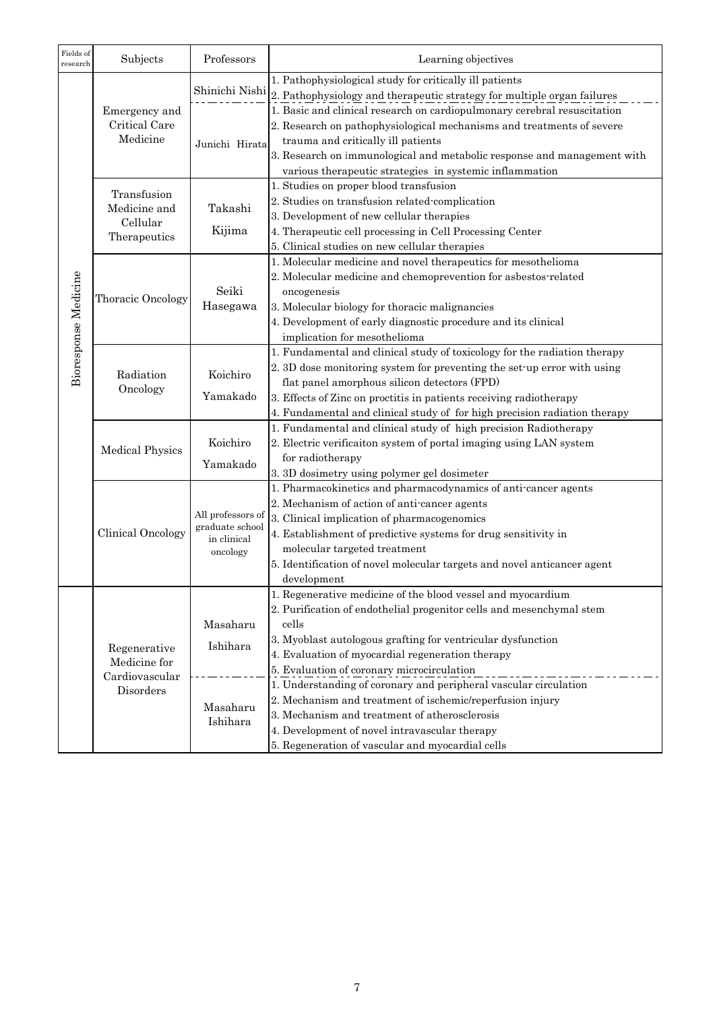| Fields of<br>research | Subjects                                                    | Professors                                                      | Learning objectives                                                                                                                                                                                                                                                                                                                                                                                                                                                                                                                              |
|-----------------------|-------------------------------------------------------------|-----------------------------------------------------------------|--------------------------------------------------------------------------------------------------------------------------------------------------------------------------------------------------------------------------------------------------------------------------------------------------------------------------------------------------------------------------------------------------------------------------------------------------------------------------------------------------------------------------------------------------|
| Bioresponse Medicine  | Emergency and<br>Critical Care<br>Medicine                  | Junichi Hirata                                                  | 1. Pathophysiological study for critically ill patients<br>Shinichi Nishi 2. Pathophysiology and therapeutic strategy for multiple organ failures<br>1. Basic and clinical research on cardiopulmonary cerebral resuscitation<br>2. Research on pathophysiological mechanisms and treatments of severe<br>trauma and critically ill patients<br>3. Research on immunological and metabolic response and management with                                                                                                                          |
|                       | Transfusion<br>Medicine and<br>Cellular<br>Therapeutics     | Takashi<br>Kijima                                               | various therapeutic strategies in systemic inflammation<br>1. Studies on proper blood transfusion<br>2. Studies on transfusion related complication<br>3. Development of new cellular therapies<br>4. Therapeutic cell processing in Cell Processing Center<br>5. Clinical studies on new cellular therapies                                                                                                                                                                                                                                     |
|                       | Thoracic Oncology                                           | Seiki<br>Hasegawa                                               | 1. Molecular medicine and novel therapeutics for mesothelioma<br>2. Molecular medicine and chemoprevention for asbestos-related<br>oncogenesis<br>3. Molecular biology for thoracic malignancies<br>4. Development of early diagnostic procedure and its clinical<br>implication for mesothelioma                                                                                                                                                                                                                                                |
|                       | Radiation<br>Oncology                                       | Koichiro<br>Yamakado                                            | 1. Fundamental and clinical study of toxicology for the radiation therapy<br>2. 3D dose monitoring system for preventing the set-up error with using<br>flat panel amorphous silicon detectors (FPD)<br>3. Effects of Zinc on proctitis in patients receiving radiotherapy<br>4. Fundamental and clinical study of for high precision radiation therapy                                                                                                                                                                                          |
|                       | <b>Medical Physics</b>                                      | Koichiro<br>Yamakado                                            | 1. Fundamental and clinical study of high precision Radiotherapy<br>2. Electric verificaiton system of portal imaging using LAN system<br>for radiotherapy<br>3. 3D dosimetry using polymer gel dosimeter                                                                                                                                                                                                                                                                                                                                        |
|                       | Clinical Oncology                                           | All professors of<br>graduate school<br>in clinical<br>oncology | 1. Pharmacokinetics and pharmacodynamics of anti-cancer agents<br>2. Mechanism of action of anti-cancer agents<br>3. Clinical implication of pharmacogenomics<br>4. Establishment of predictive systems for drug sensitivity in<br>molecular targeted treatment<br>5. Identification of novel molecular targets and novel anticancer agent<br>development                                                                                                                                                                                        |
|                       | Regenerative<br>Medicine for<br>Cardiovascular<br>Disorders | Masaharu<br>Ishihara<br>Masaharu<br>Ishihara                    | 1. Regenerative medicine of the blood vessel and myocardium<br>2. Purification of endothelial progenitor cells and mesenchymal stem<br>cells<br>3. Myoblast autologous grafting for ventricular dysfunction<br>4. Evaluation of myocardial regeneration therapy<br>5. Evaluation of coronary microcirculation<br>1. Understanding of coronary and peripheral vascular circulation<br>2. Mechanism and treatment of ischemic/reperfusion injury<br>3. Mechanism and treatment of atherosclerosis<br>4. Development of novel intravascular therapy |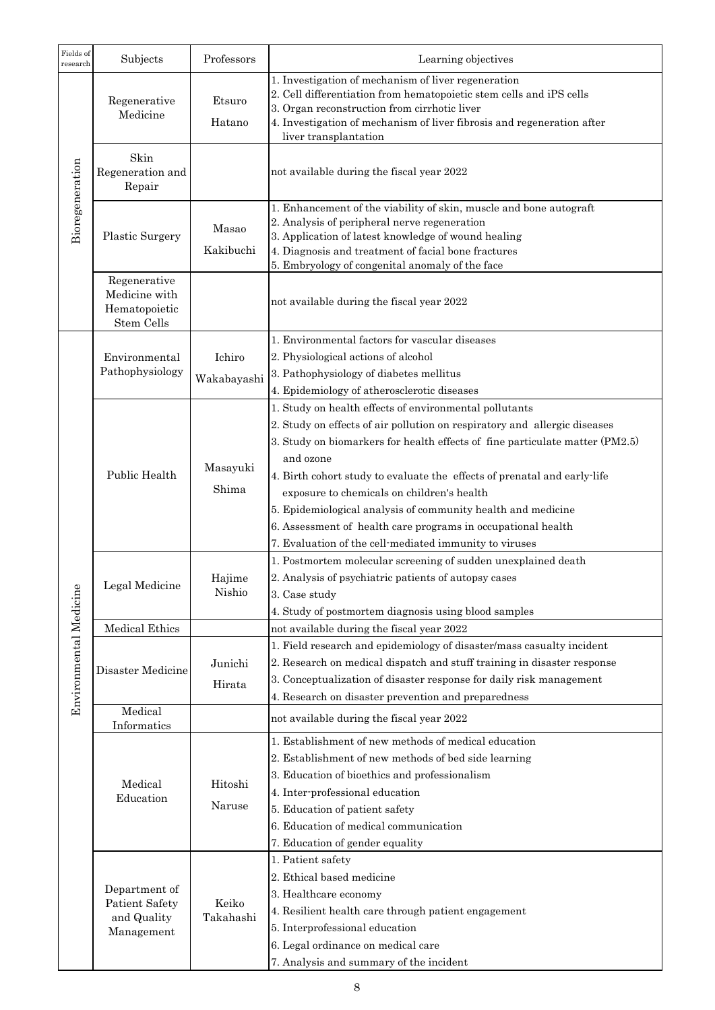| Fields of<br>research  | Subjects                                                     | Professors            | Learning objectives                                                                                                                                                                                                                                                                                                                                                                                                                                                                                                                                  |
|------------------------|--------------------------------------------------------------|-----------------------|------------------------------------------------------------------------------------------------------------------------------------------------------------------------------------------------------------------------------------------------------------------------------------------------------------------------------------------------------------------------------------------------------------------------------------------------------------------------------------------------------------------------------------------------------|
| Bioregeneration        | Regenerative<br>Medicine                                     | Etsuro<br>Hatano      | 1. Investigation of mechanism of liver regeneration<br>2. Cell differentiation from hematopoietic stem cells and iPS cells<br>3. Organ reconstruction from cirrhotic liver<br>4. Investigation of mechanism of liver fibrosis and regeneration after<br>liver transplantation                                                                                                                                                                                                                                                                        |
|                        | Skin<br>Regeneration and<br>Repair                           |                       | not available during the fiscal year 2022                                                                                                                                                                                                                                                                                                                                                                                                                                                                                                            |
|                        | Plastic Surgery                                              | Masao<br>Kakibuchi    | 1. Enhancement of the viability of skin, muscle and bone autograft<br>2. Analysis of peripheral nerve regeneration<br>3. Application of latest knowledge of wound healing<br>4. Diagnosis and treatment of facial bone fractures<br>5. Embryology of congenital anomaly of the face                                                                                                                                                                                                                                                                  |
|                        | Regenerative<br>Medicine with<br>Hematopoietic<br>Stem Cells |                       | not available during the fiscal year 2022                                                                                                                                                                                                                                                                                                                                                                                                                                                                                                            |
|                        | Environmental<br>Pathophysiology                             | Ichiro<br>Wakabayashi | 1. Environmental factors for vascular diseases<br>2. Physiological actions of alcohol<br>3. Pathophysiology of diabetes mellitus<br>4. Epidemiology of atherosclerotic diseases                                                                                                                                                                                                                                                                                                                                                                      |
|                        | Public Health                                                | Masayuki<br>Shima     | 1. Study on health effects of environmental pollutants<br>2. Study on effects of air pollution on respiratory and allergic diseases<br>3. Study on biomarkers for health effects of fine particulate matter (PM2.5)<br>and ozone<br>4. Birth cohort study to evaluate the effects of prenatal and early-life<br>exposure to chemicals on children's health<br>5. Epidemiological analysis of community health and medicine<br>6. Assessment of health care programs in occupational health<br>7. Evaluation of the cell-mediated immunity to viruses |
|                        | Legal Medicine                                               | Hajime<br>Nishio      | 1. Postmortem molecular screening of sudden unexplained death<br>2. Analysis of psychiatric patients of autopsy cases<br>3. Case study<br>4. Study of postmortem diagnosis using blood samples                                                                                                                                                                                                                                                                                                                                                       |
|                        | <b>Medical Ethics</b>                                        |                       | not available during the fiscal year 2022                                                                                                                                                                                                                                                                                                                                                                                                                                                                                                            |
| Environmental Medicine | Disaster Medicine                                            | Junichi<br>Hirata     | 1. Field research and epidemiology of disaster/mass casualty incident<br>2. Research on medical dispatch and stuff training in disaster response<br>3. Conceptualization of disaster response for daily risk management<br>4. Research on disaster prevention and preparedness                                                                                                                                                                                                                                                                       |
|                        | Medical<br>Informatics                                       |                       | not available during the fiscal year 2022                                                                                                                                                                                                                                                                                                                                                                                                                                                                                                            |
|                        | Medical<br>Education                                         | Hitoshi<br>Naruse     | 1. Establishment of new methods of medical education<br>2. Establishment of new methods of bed side learning<br>3. Education of bioethics and professionalism<br>4. Inter-professional education<br>5. Education of patient safety<br>6. Education of medical communication<br>7. Education of gender equality                                                                                                                                                                                                                                       |
|                        | Department of<br>Patient Safety<br>and Quality<br>Management | Keiko<br>Takahashi    | 1. Patient safety<br>2. Ethical based medicine<br>3. Healthcare economy<br>4. Resilient health care through patient engagement<br>5. Interprofessional education<br>6. Legal ordinance on medical care<br>7. Analysis and summary of the incident                                                                                                                                                                                                                                                                                                    |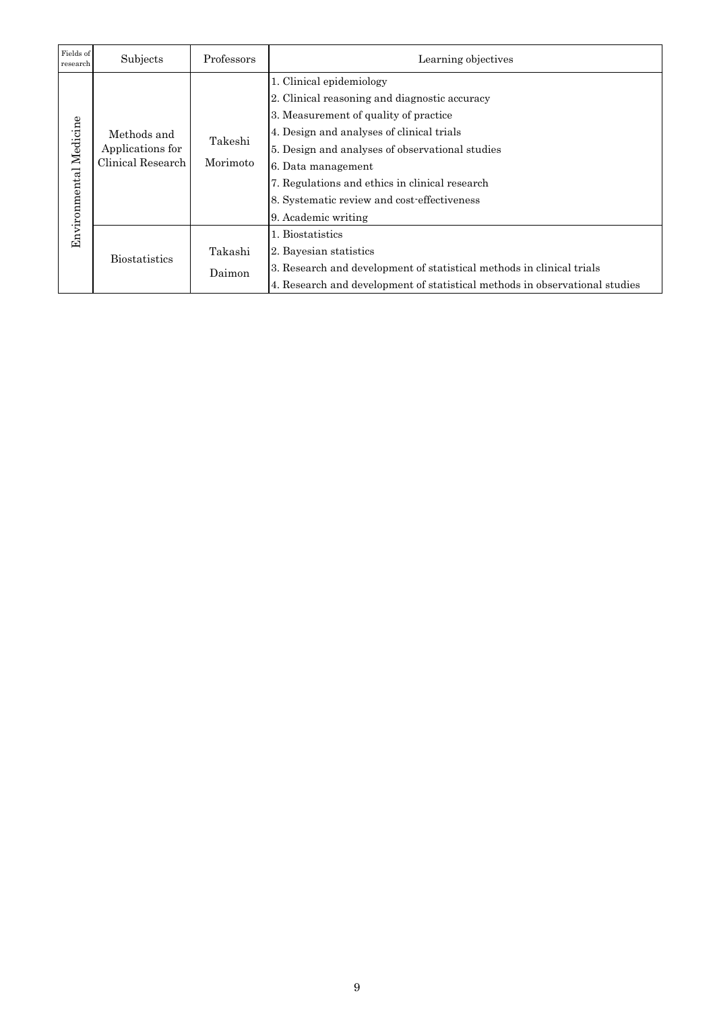| Fields of<br>research  | Subjects                                             | Professors          | Learning objectives                                                                                                                                                                                                                                                                                                                                              |
|------------------------|------------------------------------------------------|---------------------|------------------------------------------------------------------------------------------------------------------------------------------------------------------------------------------------------------------------------------------------------------------------------------------------------------------------------------------------------------------|
| Environmental Medicine | Methods and<br>Applications for<br>Clinical Research | Takeshi<br>Morimoto | 1. Clinical epidemiology<br>2. Clinical reasoning and diagnostic accuracy<br>3. Measurement of quality of practice<br>4. Design and analyses of clinical trials<br>5. Design and analyses of observational studies<br>6. Data management<br>7. Regulations and ethics in clinical research<br>8. Systematic review and cost-effectiveness<br>9. Academic writing |
|                        | <b>Biostatistics</b>                                 | Takashi<br>Daimon   | 1. Biostatistics<br>2. Bayesian statistics<br>3. Research and development of statistical methods in clinical trials<br>4. Research and development of statistical methods in observational studies                                                                                                                                                               |